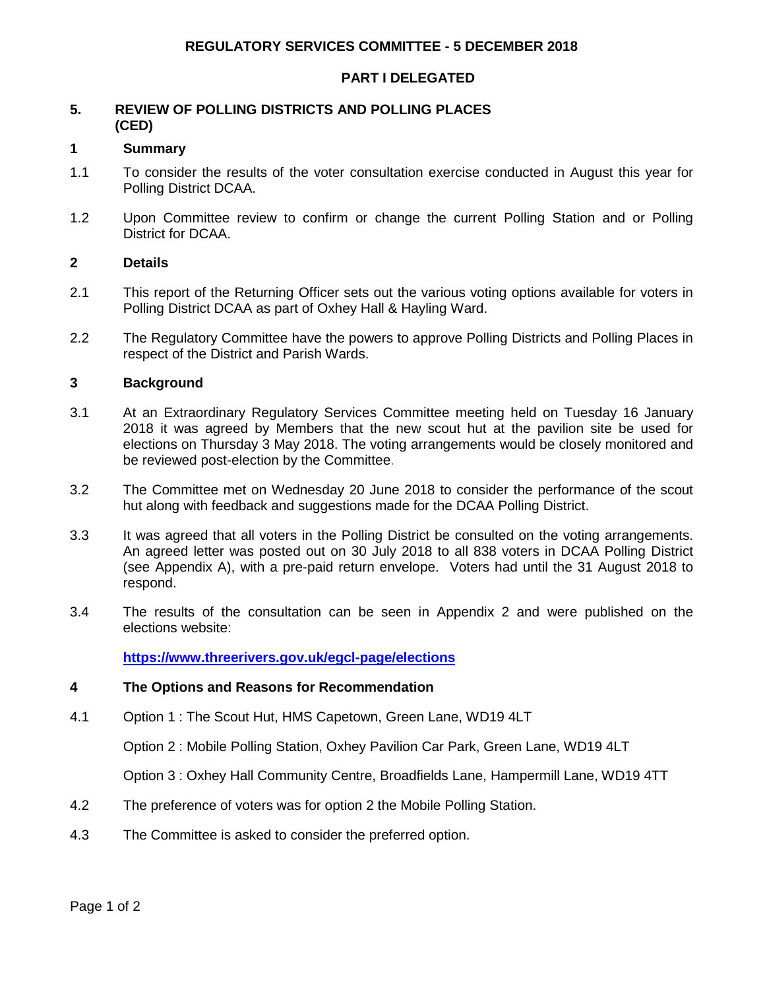## **REGULATORY SERVICES COMMITTEE - 5 DECEMBER 2018**

#### **PART I DELEGATED**

### **5. REVIEW OF POLLING DISTRICTS AND POLLING PLACES (CED)**

#### **1 Summary**

- 1.1 To consider the results of the voter consultation exercise conducted in August this year for Polling District DCAA.
- 1.2 Upon Committee review to confirm or change the current Polling Station and or Polling District for DCAA.

### **2 Details**

- 2.1 This report of the Returning Officer sets out the various voting options available for voters in Polling District DCAA as part of Oxhey Hall & Hayling Ward.
- 2.2 The Regulatory Committee have the powers to approve Polling Districts and Polling Places in respect of the District and Parish Wards.

#### **3 Background**

- 3.1 At an Extraordinary Regulatory Services Committee meeting held on Tuesday 16 January 2018 it was agreed by Members that the new scout hut at the pavilion site be used for elections on Thursday 3 May 2018. The voting arrangements would be closely monitored and be reviewed post-election by the Committee.
- 3.2 The Committee met on Wednesday 20 June 2018 to consider the performance of the scout hut along with feedback and suggestions made for the DCAA Polling District.
- 3.3 It was agreed that all voters in the Polling District be consulted on the voting arrangements. An agreed letter was posted out on 30 July 2018 to all 838 voters in DCAA Polling District (see Appendix A), with a pre-paid return envelope. Voters had until the 31 August 2018 to respond.
- 3.4 The results of the consultation can be seen in Appendix 2 and were published on the elections website:

**<https://www.threerivers.gov.uk/egcl-page/elections>**

#### **4 The Options and Reasons for Recommendation**

4.1 Option 1 : The Scout Hut, HMS Capetown, Green Lane, WD19 4LT

Option 2 : Mobile Polling Station, Oxhey Pavilion Car Park, Green Lane, WD19 4LT

Option 3 : Oxhey Hall Community Centre, Broadfields Lane, Hampermill Lane, WD19 4TT

- 4.2 The preference of voters was for option 2 the Mobile Polling Station.
- 4.3 The Committee is asked to consider the preferred option.

Page 1 of 2